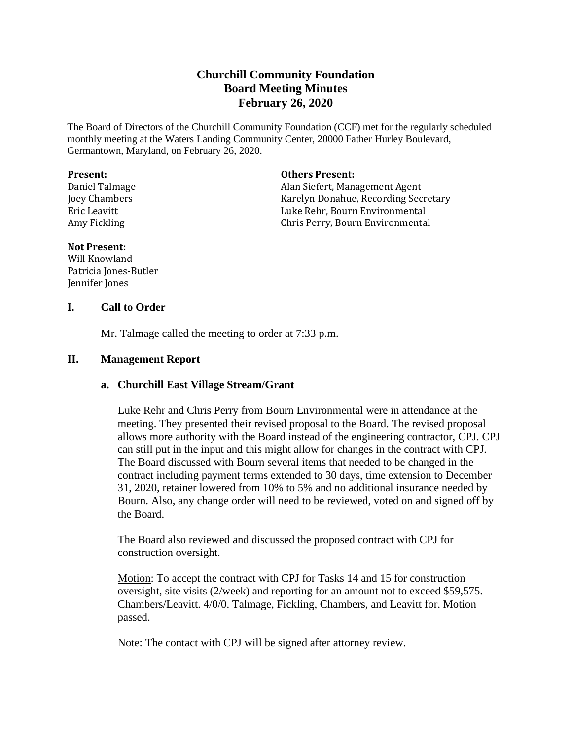# **Churchill Community Foundation Board Meeting Minutes February 26, 2020**

The Board of Directors of the Churchill Community Foundation (CCF) met for the regularly scheduled monthly meeting at the Waters Landing Community Center, 20000 Father Hurley Boulevard, Germantown, Maryland, on February 26, 2020.

#### **Present:**

Daniel Talmage Joey Chambers Eric Leavitt Amy Fickling

### **Others Present:**

Alan Siefert, Management Agent Karelyn Donahue, Recording Secretary Luke Rehr, Bourn Environmental Chris Perry, Bourn Environmental

# **Not Present:**

Will Knowland Patricia Jones-Butler Jennifer Jones

# **I. Call to Order**

Mr. Talmage called the meeting to order at 7:33 p.m.

# **II. Management Report**

# **a. Churchill East Village Stream/Grant**

Luke Rehr and Chris Perry from Bourn Environmental were in attendance at the meeting. They presented their revised proposal to the Board. The revised proposal allows more authority with the Board instead of the engineering contractor, CPJ. CPJ can still put in the input and this might allow for changes in the contract with CPJ. The Board discussed with Bourn several items that needed to be changed in the contract including payment terms extended to 30 days, time extension to December 31, 2020, retainer lowered from 10% to 5% and no additional insurance needed by Bourn. Also, any change order will need to be reviewed, voted on and signed off by the Board.

The Board also reviewed and discussed the proposed contract with CPJ for construction oversight.

Motion: To accept the contract with CPJ for Tasks 14 and 15 for construction oversight, site visits (2/week) and reporting for an amount not to exceed \$59,575. Chambers/Leavitt. 4/0/0. Talmage, Fickling, Chambers, and Leavitt for. Motion passed.

Note: The contact with CPJ will be signed after attorney review.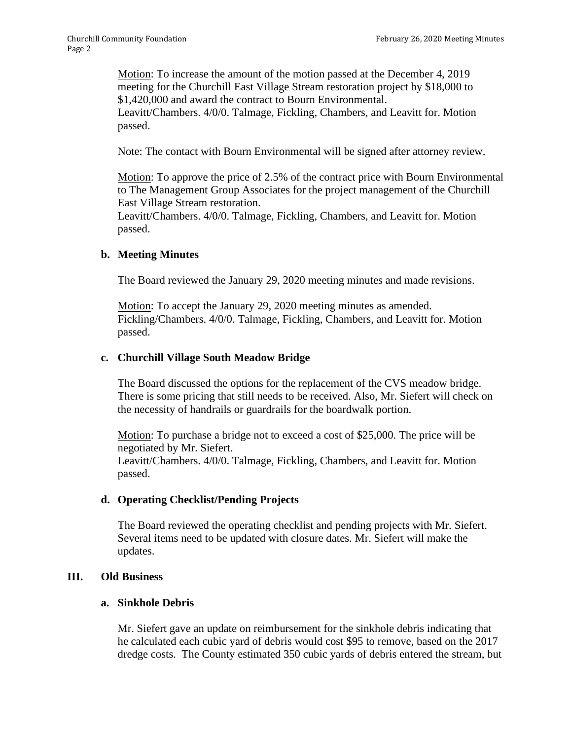Motion: To increase the amount of the motion passed at the December 4, 2019 meeting for the Churchill East Village Stream restoration project by \$18,000 to \$1,420,000 and award the contract to Bourn Environmental.

Leavitt/Chambers. 4/0/0. Talmage, Fickling, Chambers, and Leavitt for. Motion passed.

Note: The contact with Bourn Environmental will be signed after attorney review.

Motion: To approve the price of 2.5% of the contract price with Bourn Environmental to The Management Group Associates for the project management of the Churchill East Village Stream restoration.

Leavitt/Chambers. 4/0/0. Talmage, Fickling, Chambers, and Leavitt for. Motion passed.

### **b. Meeting Minutes**

The Board reviewed the January 29, 2020 meeting minutes and made revisions.

Motion: To accept the January 29, 2020 meeting minutes as amended. Fickling/Chambers. 4/0/0. Talmage, Fickling, Chambers, and Leavitt for. Motion passed.

### **c. Churchill Village South Meadow Bridge**

The Board discussed the options for the replacement of the CVS meadow bridge. There is some pricing that still needs to be received. Also, Mr. Siefert will check on the necessity of handrails or guardrails for the boardwalk portion.

Motion: To purchase a bridge not to exceed a cost of \$25,000. The price will be negotiated by Mr. Siefert.

Leavitt/Chambers. 4/0/0. Talmage, Fickling, Chambers, and Leavitt for. Motion passed.

#### **d. Operating Checklist/Pending Projects**

The Board reviewed the operating checklist and pending projects with Mr. Siefert. Several items need to be updated with closure dates. Mr. Siefert will make the updates.

### **III. Old Business**

#### **a. Sinkhole Debris**

Mr. Siefert gave an update on reimbursement for the sinkhole debris indicating that he calculated each cubic yard of debris would cost \$95 to remove, based on the 2017 dredge costs. The County estimated 350 cubic yards of debris entered the stream, but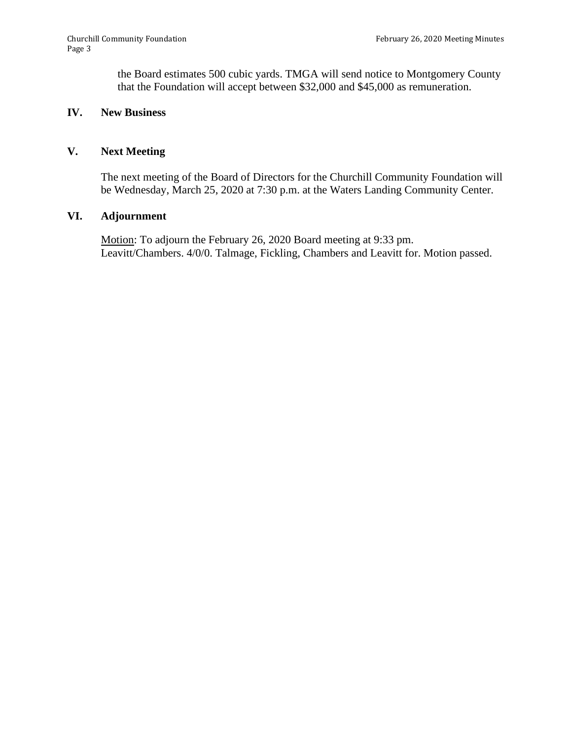the Board estimates 500 cubic yards. TMGA will send notice to Montgomery County that the Foundation will accept between \$32,000 and \$45,000 as remuneration.

# **IV. New Business**

## **V. Next Meeting**

The next meeting of the Board of Directors for the Churchill Community Foundation will be Wednesday, March 25, 2020 at 7:30 p.m. at the Waters Landing Community Center.

### **VI. Adjournment**

Motion: To adjourn the February 26, 2020 Board meeting at 9:33 pm. Leavitt/Chambers. 4/0/0. Talmage, Fickling, Chambers and Leavitt for. Motion passed.